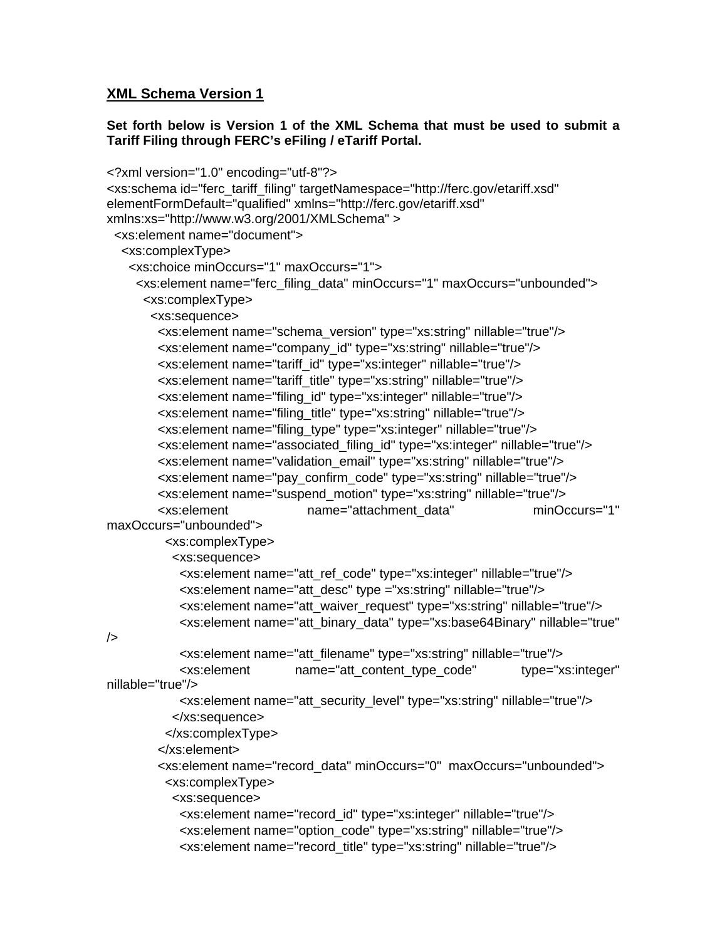## **XML Schema Version 1**

## **Set forth below is Version 1 of the XML Schema that must be used to submit a Tariff Filing through FERC's eFiling / eTariff Portal.**

```
<?xml version="1.0" encoding="utf-8"?> 
<xs:schema id="ferc_tariff_filing" targetNamespace="http://ferc.gov/etariff.xsd" 
elementFormDefault="qualified" xmlns="http://ferc.gov/etariff.xsd" 
xmlns:xs="http://www.w3.org/2001/XMLSchema" > 
  <xs:element name="document"> 
   <xs:complexType> 
    <xs:choice minOccurs="1" maxOccurs="1"> 
      <xs:element name="ferc_filing_data" minOccurs="1" maxOccurs="unbounded"> 
       <xs:complexType> 
        <xs:sequence> 
         <xs:element name="schema_version" type="xs:string" nillable="true"/> 
         <xs:element name="company_id" type="xs:string" nillable="true"/> 
         <xs:element name="tariff_id" type="xs:integer" nillable="true"/> 
         <xs:element name="tariff_title" type="xs:string" nillable="true"/> 
         <xs:element name="filing_id" type="xs:integer" nillable="true"/> 
         <xs:element name="filing_title" type="xs:string" nillable="true"/> 
         <xs:element name="filing_type" type="xs:integer" nillable="true"/> 
         <xs:element name="associated_filing_id" type="xs:integer" nillable="true"/> 
         <xs:element name="validation_email" type="xs:string" nillable="true"/> 
         <xs:element name="pay_confirm_code" type="xs:string" nillable="true"/> 
         <xs:element name="suspend_motion" type="xs:string" nillable="true"/> 
         <xs:element name="attachment_data" minOccurs="1" 
maxOccurs="unbounded"> 
          <xs:complexType> 
            <xs:sequence> 
             <xs:element name="att_ref_code" type="xs:integer" nillable="true"/> 
             <xs:element name="att_desc" type ="xs:string" nillable="true"/> 
             <xs:element name="att_waiver_request" type="xs:string" nillable="true"/> 
             <xs:element name="att_binary_data" type="xs:base64Binary" nillable="true" 
/> 
             <xs:element name="att_filename" type="xs:string" nillable="true"/> 
             <xs:element name="att_content_type_code" type="xs:integer" 
nillable="true"/> 
             <xs:element name="att_security_level" type="xs:string" nillable="true"/> 
            </xs:sequence> 
           </xs:complexType> 
         </xs:element> 
         <xs:element name="record_data" minOccurs="0" maxOccurs="unbounded"> 
           <xs:complexType> 
            <xs:sequence> 
             <xs:element name="record_id" type="xs:integer" nillable="true"/> 
             <xs:element name="option_code" type="xs:string" nillable="true"/> 
             <xs:element name="record_title" type="xs:string" nillable="true"/>
```